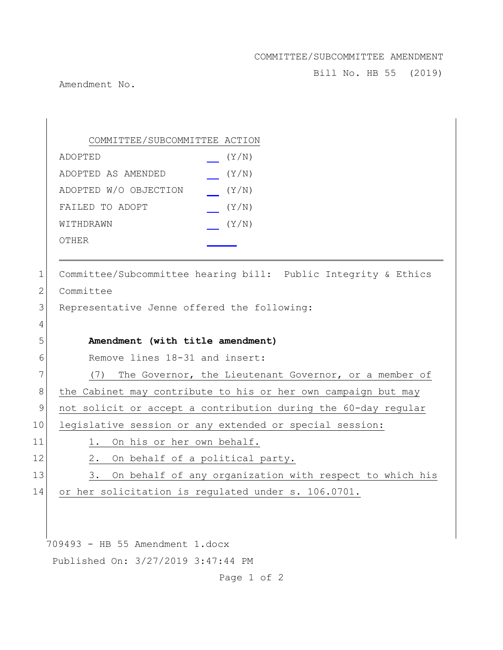COMMITTEE/SUBCOMMITTEE AMENDMENT

Bill No. HB 55 (2019)

Amendment No.

709493 - HB 55 Amendment 1.docx Published On: 3/27/2019 3:47:44 PM Page 1 of 2 COMMITTEE/SUBCOMMITTEE ACTION ADOPTED (Y/N) ADOPTED AS AMENDED (Y/N) ADOPTED W/O OBJECTION (Y/N) FAILED TO ADOPT  $(Y/N)$ WITHDRAWN  $(Y/N)$ OTHER 1 Committee/Subcommittee hearing bill: Public Integrity & Ethics 2 Committee 3 Representative Jenne offered the following: 4 5 **Amendment (with title amendment)** 6 Remove lines 18-31 and insert: 7 (7) The Governor, the Lieutenant Governor, or a member of 8 | the Cabinet may contribute to his or her own campaign but may 9 not solicit or accept a contribution during the 60-day regular 10 legislative session or any extended or special session: 11 1. On his or her own behalf. 12 2. On behalf of a political party. 13 3. On behalf of any organization with respect to which his 14 or her solicitation is regulated under s. 106.0701.